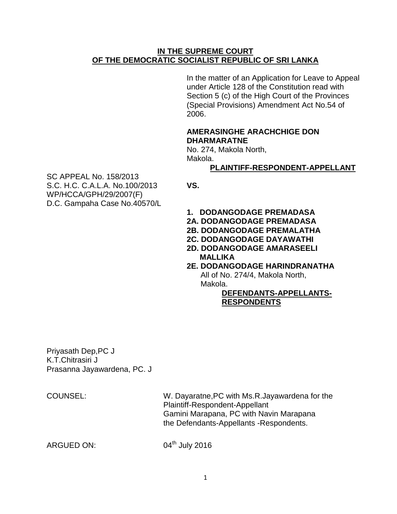## **IN THE SUPREME COURT OF THE DEMOCRATIC SOCIALIST REPUBLIC OF SRI LANKA**

In the matter of an Application for Leave to Appeal under Article 128 of the Constitution read with Section 5 (c) of the High Court of the Provinces (Special Provisions) Amendment Act No.54 of 2006.

## **AMERASINGHE ARACHCHIGE DON DHARMARATNE**

No. 274, Makola North, Makola.

# **PLAINTIFF-RESPONDENT-APPELLANT**

SC APPEAL No. 158/2013 S.C. H.C. C.A.L.A. No.100/2013 **VS.** WP/HCCA/GPH/29/2007(F) D.C. Gampaha Case No.40570/L

- **1. DODANGODAGE PREMADASA**
- **2A. DODANGODAGE PREMADASA**
- **2B. DODANGODAGE PREMALATHA**
- **2C. DODANGODAGE DAYAWATHI**
- **2D. DODANGODAGE AMARASEELI MALLIKA**
- **2E. DODANGODAGE HARINDRANATHA**

All of No. 274/4, Makola North, Makola.

## **DEFENDANTS-APPELLANTS-RESPONDENTS**

Priyasath Dep,PC J K.T.Chitrasiri J Prasanna Jayawardena, PC. J

COUNSEL: W. Dayaratne,PC with Ms.R.Jayawardena for the Plaintiff-Respondent-Appellant Gamini Marapana, PC with Navin Marapana the Defendants-Appellants -Respondents.

ARGUED ON:

04<sup>th</sup> July 2016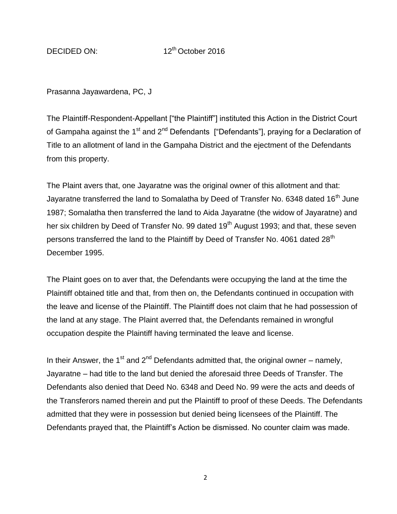Prasanna Jayawardena, PC, J

The Plaintiff-Respondent-Appellant ["the Plaintiff"] instituted this Action in the District Court of Gampaha against the 1<sup>st</sup> and 2<sup>nd</sup> Defendants ["Defendants"], praying for a Declaration of Title to an allotment of land in the Gampaha District and the ejectment of the Defendants from this property.

The Plaint avers that, one Jayaratne was the original owner of this allotment and that: Jayaratne transferred the land to Somalatha by Deed of Transfer No. 6348 dated 16<sup>th</sup> June 1987; Somalatha then transferred the land to Aida Jayaratne (the widow of Jayaratne) and her six children by Deed of Transfer No. 99 dated 19<sup>th</sup> August 1993; and that, these seven persons transferred the land to the Plaintiff by Deed of Transfer No. 4061 dated 28<sup>th</sup> December 1995.

The Plaint goes on to aver that, the Defendants were occupying the land at the time the Plaintiff obtained title and that, from then on, the Defendants continued in occupation with the leave and license of the Plaintiff. The Plaintiff does not claim that he had possession of the land at any stage. The Plaint averred that, the Defendants remained in wrongful occupation despite the Plaintiff having terminated the leave and license.

In their Answer, the 1<sup>st</sup> and 2<sup>nd</sup> Defendants admitted that, the original owner – namely, Jayaratne – had title to the land but denied the aforesaid three Deeds of Transfer. The Defendants also denied that Deed No. 6348 and Deed No. 99 were the acts and deeds of the Transferors named therein and put the Plaintiff to proof of these Deeds. The Defendants admitted that they were in possession but denied being licensees of the Plaintiff. The Defendants prayed that, the Plaintiff"s Action be dismissed. No counter claim was made.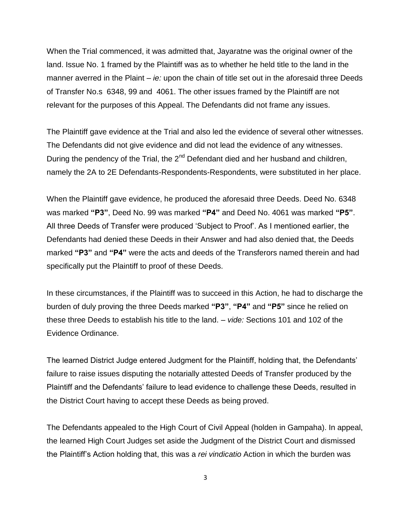When the Trial commenced, it was admitted that, Jayaratne was the original owner of the land. Issue No. 1 framed by the Plaintiff was as to whether he held title to the land in the manner averred in the Plaint – *ie:* upon the chain of title set out in the aforesaid three Deeds of Transfer No.s 6348, 99 and 4061. The other issues framed by the Plaintiff are not relevant for the purposes of this Appeal. The Defendants did not frame any issues.

The Plaintiff gave evidence at the Trial and also led the evidence of several other witnesses. The Defendants did not give evidence and did not lead the evidence of any witnesses. During the pendency of the Trial, the  $2^{nd}$  Defendant died and her husband and children, namely the 2A to 2E Defendants-Respondents-Respondents, were substituted in her place.

When the Plaintiff gave evidence, he produced the aforesaid three Deeds. Deed No. 6348 was marked **"P3"**, Deed No. 99 was marked **"P4"** and Deed No. 4061 was marked **"P5"**. All three Deeds of Transfer were produced "Subject to Proof". As I mentioned earlier, the Defendants had denied these Deeds in their Answer and had also denied that, the Deeds marked **"P3"** and **"P4"** were the acts and deeds of the Transferors named therein and had specifically put the Plaintiff to proof of these Deeds.

In these circumstances, if the Plaintiff was to succeed in this Action, he had to discharge the burden of duly proving the three Deeds marked **"P3"**, **"P4"** and **"P5"** since he relied on these three Deeds to establish his title to the land. – *vide:* Sections 101 and 102 of the Evidence Ordinance.

The learned District Judge entered Judgment for the Plaintiff, holding that, the Defendants" failure to raise issues disputing the notarially attested Deeds of Transfer produced by the Plaintiff and the Defendants" failure to lead evidence to challenge these Deeds, resulted in the District Court having to accept these Deeds as being proved.

The Defendants appealed to the High Court of Civil Appeal (holden in Gampaha). In appeal, the learned High Court Judges set aside the Judgment of the District Court and dismissed the Plaintiff"s Action holding that, this was a *rei vindicatio* Action in which the burden was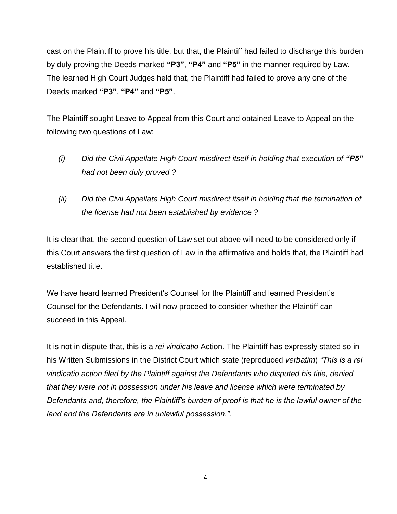cast on the Plaintiff to prove his title, but that, the Plaintiff had failed to discharge this burden by duly proving the Deeds marked **"P3"**, **"P4"** and **"P5"** in the manner required by Law. The learned High Court Judges held that, the Plaintiff had failed to prove any one of the Deeds marked **"P3"**, **"P4"** and **"P5"**.

The Plaintiff sought Leave to Appeal from this Court and obtained Leave to Appeal on the following two questions of Law:

- *(i) Did the Civil Appellate High Court misdirect itself in holding that execution of "P5" had not been duly proved ?*
- *(ii) Did the Civil Appellate High Court misdirect itself in holding that the termination of the license had not been established by evidence ?*

It is clear that, the second question of Law set out above will need to be considered only if this Court answers the first question of Law in the affirmative and holds that, the Plaintiff had established title.

We have heard learned President"s Counsel for the Plaintiff and learned President"s Counsel for the Defendants. I will now proceed to consider whether the Plaintiff can succeed in this Appeal.

It is not in dispute that, this is a *rei vindicatio* Action. The Plaintiff has expressly stated so in his Written Submissions in the District Court which state (reproduced *verbatim*) *"This is a rei vindicatio action filed by the Plaintiff against the Defendants who disputed his title, denied that they were not in possession under his leave and license which were terminated by Defendants and, therefore, the Plaintiff's burden of proof is that he is the lawful owner of the land and the Defendants are in unlawful possession.".*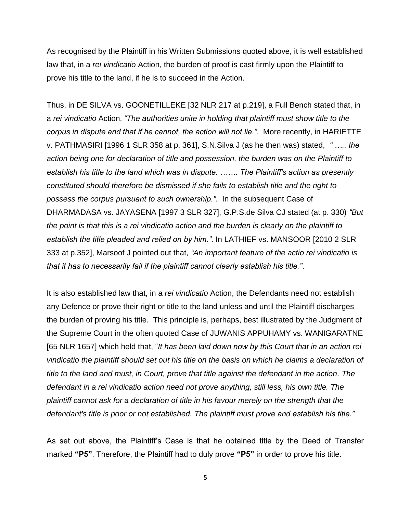As recognised by the Plaintiff in his Written Submissions quoted above, it is well established law that, in a *rei vindicatio* Action, the burden of proof is cast firmly upon the Plaintiff to prove his title to the land, if he is to succeed in the Action.

Thus, in DE SILVA vs. GOONETILLEKE [32 NLR 217 at p.219], a Full Bench stated that, in a *rei vindicatio* Action, *"The authorities unite in holding that plaintiff must show title to the corpus in dispute and that if he cannot, the action will not lie."*. More recently, in HARIETTE v. PATHMASIRI [1996 1 SLR 358 at p. 361], S.N.Silva J (as he then was) stated, *" ….. the action being one for declaration of title and possession, the burden was on the Plaintiff to establish his title to the land which was in dispute. ……. The Plaintiff's action as presently constituted should therefore be dismissed if she fails to establish title and the right to possess the corpus pursuant to such ownership."*. In the subsequent Case of DHARMADASA vs. JAYASENA [1997 3 SLR 327], G.P.S.de Silva CJ stated (at p. 330) *"But the point is that this is a rei vindicatio action and the burden is clearly on the plaintiff to establish the title pleaded and relied on by him."*. In LATHIEF vs. MANSOOR [2010 2 SLR 333 at p.352], Marsoof J pointed out that, *"An important feature of the actio rei vindicatio is that it has to necessarily fail if the plaintiff cannot clearly establish his title."*.

It is also established law that, in a *rei vindicatio* Action, the Defendants need not establish any Defence or prove their right or title to the land unless and until the Plaintiff discharges the burden of proving his title. This principle is, perhaps, best illustrated by the Judgment of the Supreme Court in the often quoted Case of JUWANIS APPUHAMY vs. WANIGARATNE [65 NLR 1657] which held that, "*It has been laid down now by this Court that in an action rei vindicatio the plaintiff should set out his title on the basis on which he claims a declaration of title to the land and must, in Court, prove that title against the defendant in the action. The defendant in a rei vindicatio action need not prove anything, still less, his own title. The plaintiff cannot ask for a declaration of title in his favour merely on the strength that the defendant's title is poor or not established. The plaintiff must prove and establish his title."*

As set out above, the Plaintiff"s Case is that he obtained title by the Deed of Transfer marked **"P5"**. Therefore, the Plaintiff had to duly prove **"P5"** in order to prove his title.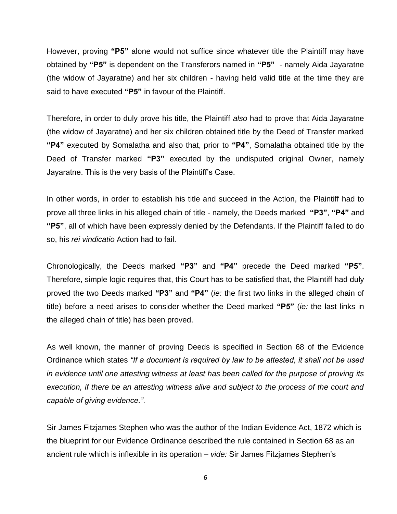However, proving **"P5"** alone would not suffice since whatever title the Plaintiff may have obtained by **"P5"** is dependent on the Transferors named in **"P5"** - namely Aida Jayaratne (the widow of Jayaratne) and her six children - having held valid title at the time they are said to have executed **"P5"** in favour of the Plaintiff.

Therefore, in order to duly prove his title, the Plaintiff *also* had to prove that Aida Jayaratne (the widow of Jayaratne) and her six children obtained title by the Deed of Transfer marked **"P4"** executed by Somalatha and also that, prior to **"P4"**, Somalatha obtained title by the Deed of Transfer marked **"P3"** executed by the undisputed original Owner, namely Jayaratne. This is the very basis of the Plaintiff"s Case.

In other words, in order to establish his title and succeed in the Action, the Plaintiff had to prove all three links in his alleged chain of title - namely, the Deeds marked **"P3"**, **"P4"** and **"P5"**, all of which have been expressly denied by the Defendants. If the Plaintiff failed to do so, his *rei vindicatio* Action had to fail.

Chronologically, the Deeds marked **"P3"** and **"P4"** precede the Deed marked **"P5"**. Therefore, simple logic requires that, this Court has to be satisfied that, the Plaintiff had duly proved the two Deeds marked **"P3"** and **"P4"** (*ie:* the first two links in the alleged chain of title) before a need arises to consider whether the Deed marked **"P5"** (*ie:* the last links in the alleged chain of title) has been proved.

As well known, the manner of proving Deeds is specified in Section 68 of the Evidence Ordinance which states *"If a document is required by law to be attested, it shall not be used in evidence until one attesting witness at least has been called for the purpose of proving its execution, if there be an attesting witness alive and subject to the process of the court and capable of giving evidence."*.

Sir James Fitzjames Stephen who was the author of the Indian Evidence Act, 1872 which is the blueprint for our Evidence Ordinance described the rule contained in Section 68 as an ancient rule which is inflexible in its operation – *vide:* Sir James Fitzjames Stephen"s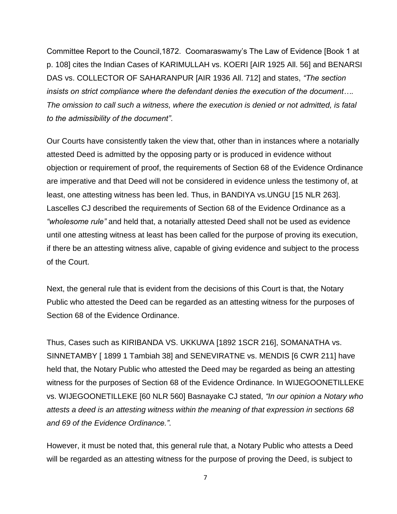Committee Report to the Council,1872. Coomaraswamy"s The Law of Evidence [Book 1 at p. 108] cites the Indian Cases of KARIMULLAH vs. KOERI [AIR 1925 All. 56] and BENARSI DAS vs. COLLECTOR OF SAHARANPUR [AIR 1936 All. 712] and states, *"The section insists on strict compliance where the defendant denies the execution of the document…. The omission to call such a witness, where the execution is denied or not admitted, is fatal to the admissibility of the document"*.

Our Courts have consistently taken the view that, other than in instances where a notarially attested Deed is admitted by the opposing party or is produced in evidence without objection or requirement of proof, the requirements of Section 68 of the Evidence Ordinance are imperative and that Deed will not be considered in evidence unless the testimony of, at least, one attesting witness has been led. Thus, in BANDIYA vs.UNGU [15 NLR 263]. Lascelles CJ described the requirements of Section 68 of the Evidence Ordinance as a *"wholesome rule"* and held that, a notarially attested Deed shall not be used as evidence until one attesting witness at least has been called for the purpose of proving its execution, if there be an attesting witness alive, capable of giving evidence and subject to the process of the Court.

Next, the general rule that is evident from the decisions of this Court is that, the Notary Public who attested the Deed can be regarded as an attesting witness for the purposes of Section 68 of the Evidence Ordinance.

Thus, Cases such as KIRIBANDA VS. UKKUWA [1892 1SCR 216], SOMANATHA vs. SINNETAMBY [ 1899 1 Tambiah 38] and SENEVIRATNE vs. MENDIS [6 CWR 211] have held that, the Notary Public who attested the Deed may be regarded as being an attesting witness for the purposes of Section 68 of the Evidence Ordinance. In WIJEGOONETILLEKE vs. WIJEGOONETILLEKE [60 NLR 560] Basnayake CJ stated, *"In our opinion a Notary who attests a deed is an attesting witness within the meaning of that expression in sections 68 and 69 of the Evidence Ordinance."*.

However, it must be noted that, this general rule that, a Notary Public who attests a Deed will be regarded as an attesting witness for the purpose of proving the Deed, is subject to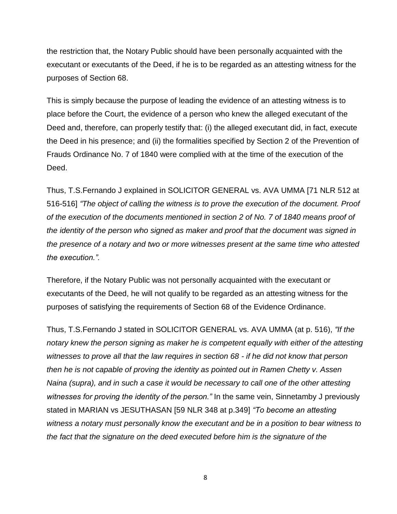the restriction that, the Notary Public should have been personally acquainted with the executant or executants of the Deed, if he is to be regarded as an attesting witness for the purposes of Section 68.

This is simply because the purpose of leading the evidence of an attesting witness is to place before the Court, the evidence of a person who knew the alleged executant of the Deed and, therefore, can properly testify that: (i) the alleged executant did, in fact, execute the Deed in his presence; and (ii) the formalities specified by Section 2 of the Prevention of Frauds Ordinance No. 7 of 1840 were complied with at the time of the execution of the Deed.

Thus, T.S.Fernando J explained in SOLICITOR GENERAL vs. AVA UMMA [71 NLR 512 at 516-516] *"The object of calling the witness is to prove the execution of the document. Proof of the execution of the documents mentioned in section 2 of No. 7 of 1840 means proof of the identity of the person who signed as maker and proof that the document was signed in the presence of a notary and two or more witnesses present at the same time who attested the execution.".*

Therefore, if the Notary Public was not personally acquainted with the executant or executants of the Deed, he will not qualify to be regarded as an attesting witness for the purposes of satisfying the requirements of Section 68 of the Evidence Ordinance.

Thus, T.S.Fernando J stated in SOLICITOR GENERAL vs. AVA UMMA (at p. 516), *"If the notary knew the person signing as maker he is competent equally with either of the attesting witnesses to prove all that the law requires in section 68 - if he did not know that person then he is not capable of proving the identity as pointed out in Ramen Chetty v. Assen Naina (supra), and in such a case it would be necessary to call one of the other attesting witnesses for proving the identity of the person."* In the same vein, Sinnetamby J previously stated in MARIAN vs JESUTHASAN [59 NLR 348 at p.349] *"To become an attesting witness a notary must personally know the executant and be in a position to bear witness to the fact that the signature on the deed executed before him is the signature of the*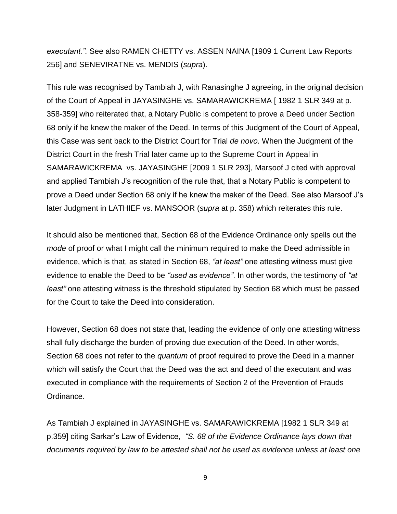*executant.".* See also RAMEN CHETTY vs. ASSEN NAINA [1909 1 Current Law Reports 256] and SENEVIRATNE vs. MENDIS (*supra*).

This rule was recognised by Tambiah J, with Ranasinghe J agreeing, in the original decision of the Court of Appeal in JAYASINGHE vs. SAMARAWICKREMA [ 1982 1 SLR 349 at p. 358-359] who reiterated that, a Notary Public is competent to prove a Deed under Section 68 only if he knew the maker of the Deed. In terms of this Judgment of the Court of Appeal, this Case was sent back to the District Court for Trial *de novo.* When the Judgment of the District Court in the fresh Trial later came up to the Supreme Court in Appeal in SAMARAWICKREMA vs. JAYASINGHE [2009 1 SLR 293], Marsoof J cited with approval and applied Tambiah J"s recognition of the rule that, that a Notary Public is competent to prove a Deed under Section 68 only if he knew the maker of the Deed. See also Marsoof J"s later Judgment in LATHIEF vs. MANSOOR (*supra* at p. 358) which reiterates this rule.

It should also be mentioned that, Section 68 of the Evidence Ordinance only spells out the *mode* of proof or what I might call the minimum required to make the Deed admissible in evidence, which is that, as stated in Section 68, *"at least"* one attesting witness must give evidence to enable the Deed to be *"used as evidence"*. In other words, the testimony of *"at least"* one attesting witness is the threshold stipulated by Section 68 which must be passed for the Court to take the Deed into consideration.

However, Section 68 does not state that, leading the evidence of only one attesting witness shall fully discharge the burden of proving due execution of the Deed. In other words, Section 68 does not refer to the *quantum* of proof required to prove the Deed in a manner which will satisfy the Court that the Deed was the act and deed of the executant and was executed in compliance with the requirements of Section 2 of the Prevention of Frauds Ordinance.

As Tambiah J explained in JAYASINGHE vs. SAMARAWICKREMA [1982 1 SLR 349 at p.359] citing Sarkar"s Law of Evidence, *"S. 68 of the Evidence Ordinance lays down that documents required by law to be attested shall not be used as evidence unless at least one*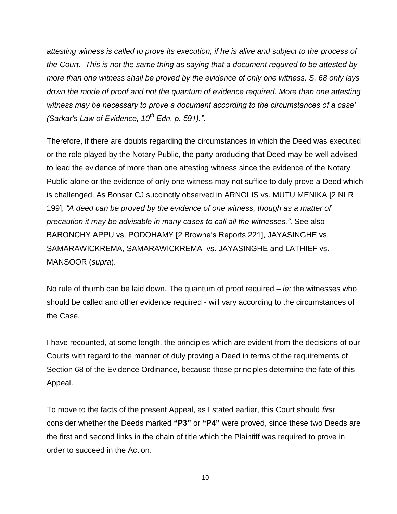*attesting witness is called to prove its execution, if he is alive and subject to the process of the Court. 'This is not the same thing as saying that a document required to be attested by more than one witness shall be proved by the evidence of only one witness. S. 68 only lays down the mode of proof and not the quantum of evidence required. More than one attesting witness may be necessary to prove a document according to the circumstances of a case' (Sarkar's Law of Evidence, 10th Edn. p. 591)."*.

Therefore, if there are doubts regarding the circumstances in which the Deed was executed or the role played by the Notary Public, the party producing that Deed may be well advised to lead the evidence of more than one attesting witness since the evidence of the Notary Public alone or the evidence of only one witness may not suffice to duly prove a Deed which is challenged. As Bonser CJ succinctly observed in ARNOLIS vs. MUTU MENIKA [2 NLR 199], *"A deed can be proved by the evidence of one witness, though as a matter of precaution it may be advisable in many cases to call all the witnesses."*. See also BARONCHY APPU vs. PODOHAMY [2 Browne"s Reports 221], JAYASINGHE vs. SAMARAWICKREMA, SAMARAWICKREMA vs. JAYASINGHE and LATHIEF vs. MANSOOR (*supra*).

No rule of thumb can be laid down. The quantum of proof required – *ie:* the witnesses who should be called and other evidence required - will vary according to the circumstances of the Case.

I have recounted, at some length, the principles which are evident from the decisions of our Courts with regard to the manner of duly proving a Deed in terms of the requirements of Section 68 of the Evidence Ordinance, because these principles determine the fate of this Appeal.

To move to the facts of the present Appeal, as I stated earlier, this Court should *first* consider whether the Deeds marked **"P3"** or **"P4"** were proved, since these two Deeds are the first and second links in the chain of title which the Plaintiff was required to prove in order to succeed in the Action.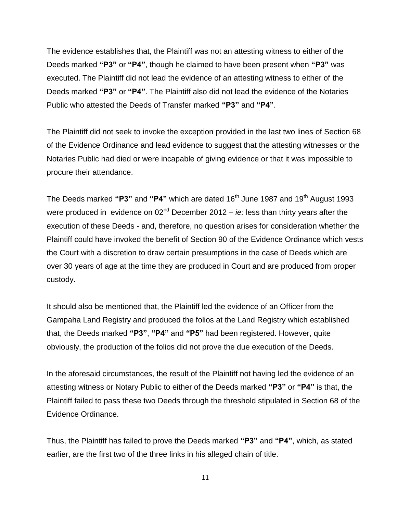The evidence establishes that, the Plaintiff was not an attesting witness to either of the Deeds marked **"P3"** or **"P4"**, though he claimed to have been present when **"P3"** was executed. The Plaintiff did not lead the evidence of an attesting witness to either of the Deeds marked **"P3"** or **"P4"**. The Plaintiff also did not lead the evidence of the Notaries Public who attested the Deeds of Transfer marked **"P3"** and **"P4"**.

The Plaintiff did not seek to invoke the exception provided in the last two lines of Section 68 of the Evidence Ordinance and lead evidence to suggest that the attesting witnesses or the Notaries Public had died or were incapable of giving evidence or that it was impossible to procure their attendance.

The Deeds marked "P3" and "P4" which are dated 16<sup>th</sup> June 1987 and 19<sup>th</sup> August 1993 were produced in evidence on 02<sup>nd</sup> December 2012 – *ie:* less than thirty years after the execution of these Deeds - and, therefore, no question arises for consideration whether the Plaintiff could have invoked the benefit of Section 90 of the Evidence Ordinance which vests the Court with a discretion to draw certain presumptions in the case of Deeds which are over 30 years of age at the time they are produced in Court and are produced from proper custody.

It should also be mentioned that, the Plaintiff led the evidence of an Officer from the Gampaha Land Registry and produced the folios at the Land Registry which established that, the Deeds marked **"P3"**, **"P4"** and **"P5"** had been registered. However, quite obviously, the production of the folios did not prove the due execution of the Deeds.

In the aforesaid circumstances, the result of the Plaintiff not having led the evidence of an attesting witness or Notary Public to either of the Deeds marked **"P3"** or **"P4"** is that, the Plaintiff failed to pass these two Deeds through the threshold stipulated in Section 68 of the Evidence Ordinance.

Thus, the Plaintiff has failed to prove the Deeds marked **"P3"** and **"P4"**, which, as stated earlier, are the first two of the three links in his alleged chain of title.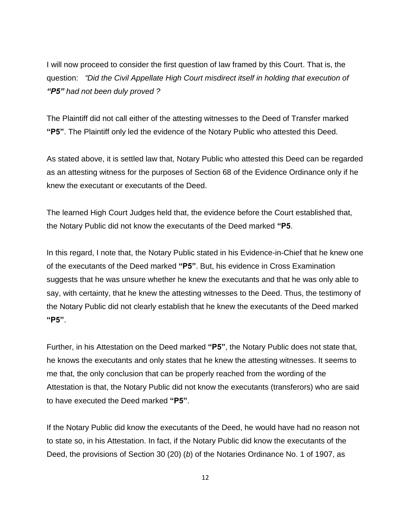I will now proceed to consider the first question of law framed by this Court. That is, the question: *"Did the Civil Appellate High Court misdirect itself in holding that execution of "P5" had not been duly proved ?* 

The Plaintiff did not call either of the attesting witnesses to the Deed of Transfer marked **"P5"**. The Plaintiff only led the evidence of the Notary Public who attested this Deed.

As stated above, it is settled law that, Notary Public who attested this Deed can be regarded as an attesting witness for the purposes of Section 68 of the Evidence Ordinance only if he knew the executant or executants of the Deed.

The learned High Court Judges held that, the evidence before the Court established that, the Notary Public did not know the executants of the Deed marked **"P5**.

In this regard, I note that, the Notary Public stated in his Evidence-in-Chief that he knew one of the executants of the Deed marked **"P5"**. But, his evidence in Cross Examination suggests that he was unsure whether he knew the executants and that he was only able to say, with certainty, that he knew the attesting witnesses to the Deed. Thus, the testimony of the Notary Public did not clearly establish that he knew the executants of the Deed marked **"P5"**.

Further, in his Attestation on the Deed marked **"P5"**, the Notary Public does not state that, he knows the executants and only states that he knew the attesting witnesses. It seems to me that, the only conclusion that can be properly reached from the wording of the Attestation is that, the Notary Public did not know the executants (transferors) who are said to have executed the Deed marked **"P5"**.

If the Notary Public did know the executants of the Deed, he would have had no reason not to state so, in his Attestation. In fact, if the Notary Public did know the executants of the Deed, the provisions of Section 30 (20) (*b*) of the Notaries Ordinance No. 1 of 1907, as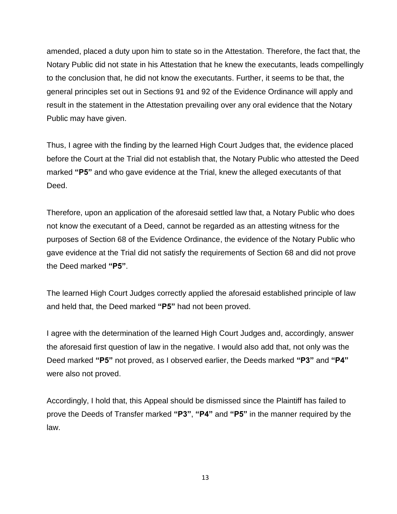amended, placed a duty upon him to state so in the Attestation. Therefore, the fact that, the Notary Public did not state in his Attestation that he knew the executants, leads compellingly to the conclusion that, he did not know the executants. Further, it seems to be that, the general principles set out in Sections 91 and 92 of the Evidence Ordinance will apply and result in the statement in the Attestation prevailing over any oral evidence that the Notary Public may have given.

Thus, I agree with the finding by the learned High Court Judges that, the evidence placed before the Court at the Trial did not establish that, the Notary Public who attested the Deed marked **"P5"** and who gave evidence at the Trial, knew the alleged executants of that Deed.

Therefore, upon an application of the aforesaid settled law that, a Notary Public who does not know the executant of a Deed, cannot be regarded as an attesting witness for the purposes of Section 68 of the Evidence Ordinance, the evidence of the Notary Public who gave evidence at the Trial did not satisfy the requirements of Section 68 and did not prove the Deed marked **"P5"**.

The learned High Court Judges correctly applied the aforesaid established principle of law and held that, the Deed marked **"P5"** had not been proved.

I agree with the determination of the learned High Court Judges and, accordingly, answer the aforesaid first question of law in the negative. I would also add that, not only was the Deed marked **"P5"** not proved, as I observed earlier, the Deeds marked **"P3"** and **"P4"** were also not proved.

Accordingly, I hold that, this Appeal should be dismissed since the Plaintiff has failed to prove the Deeds of Transfer marked **"P3"**, **"P4"** and **"P5"** in the manner required by the law.